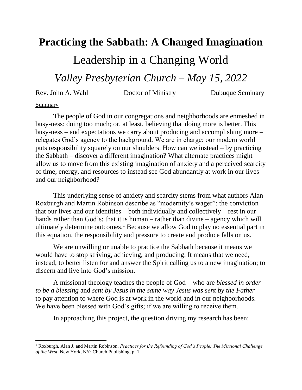## **Practicing the Sabbath: A Changed Imagination**

Leadership in a Changing World

*Valley Presbyterian Church – May 15, 2022*

Rev. John A. Wahl Doctor of Ministry Dubuque Seminary

## **Summary**

 $\overline{\phantom{a}}$ 

The people of God in our congregations and neighborhoods are enmeshed in busy-ness: doing too much; or, at least, believing that doing more is better. This busy-ness – and expectations we carry about producing and accomplishing more – relegates God's agency to the background. We are in charge; our modern world puts responsibility squarely on our shoulders. How can we instead – by practicing the Sabbath – discover a different imagination? What alternate practices might allow us to move from this existing imagination of anxiety and a perceived scarcity of time, energy, and resources to instead see God abundantly at work in our lives and our neighborhood?

This underlying sense of anxiety and scarcity stems from what authors Alan Roxburgh and Martin Robinson describe as "modernity's wager": the conviction that our lives and our identities – both individually and collectively – rest in our hands rather than God's; that it is human – rather than divine – agency which will ultimately determine outcomes.<sup>1</sup> Because we allow God to play no essential part in this equation, the responsibility and pressure to create and produce falls on us.

We are unwilling or unable to practice the Sabbath because it means we would have to stop striving, achieving, and producing. It means that we need, instead, to better listen for and answer the Spirit calling us to a new imagination; to discern and live into God's mission.

A missional theology teaches the people of God – who are *blessed in order to be a blessing* and *sent by Jesus in the same way Jesus was sent by the Father* – to pay attention to where God is at work in the world and in our neighborhoods. We have been blessed with God's gifts; if we are willing to receive them.

In approaching this project, the question driving my research has been:

<sup>1</sup> Roxburgh, Alan J. and Martin Robinson, *Practices for the Refounding of God's People: The Missional Challenge of the West*, New York, NY: Church Publishing, p. 1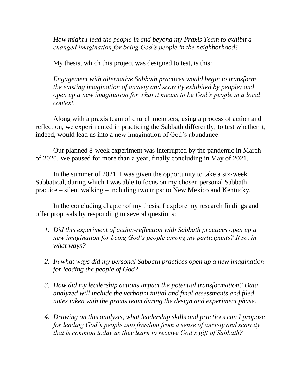*How might I lead the people in and beyond my Praxis Team to exhibit a changed imagination for being God's people in the neighborhood?* 

My thesis, which this project was designed to test, is this:

*Engagement with alternative Sabbath practices would begin to transform the existing imagination of anxiety and scarcity exhibited by people; and open up a new imagination for what it means to be God's people in a local context.*

Along with a praxis team of church members, using a process of action and reflection, we experimented in practicing the Sabbath differently; to test whether it, indeed, would lead us into a new imagination of God's abundance.

Our planned 8-week experiment was interrupted by the pandemic in March of 2020. We paused for more than a year, finally concluding in May of 2021.

In the summer of 2021, I was given the opportunity to take a six-week Sabbatical, during which I was able to focus on my chosen personal Sabbath practice – silent walking – including two trips: to New Mexico and Kentucky.

In the concluding chapter of my thesis, I explore my research findings and offer proposals by responding to several questions:

- *1. Did this experiment of action-reflection with Sabbath practices open up a new imagination for being God's people among my participants? If so, in what ways?*
- *2. In what ways did my personal Sabbath practices open up a new imagination for leading the people of God?*
- *3. How did my leadership actions impact the potential transformation? Data analyzed will include the verbatim initial and final assessments and filed notes taken with the praxis team during the design and experiment phase.*
- *4. Drawing on this analysis, what leadership skills and practices can I propose for leading God's people into freedom from a sense of anxiety and scarcity that is common today as they learn to receive God's gift of Sabbath?*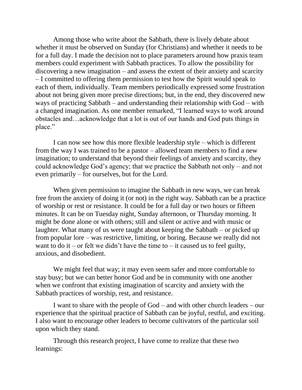Among those who write about the Sabbath, there is lively debate about whether it must be observed on Sunday (for Christians) and whether it needs to be for a full day. I made the decision not to place parameters around how praxis team members could experiment with Sabbath practices. To allow the possibility for discovering a new imagination – and assess the extent of their anxiety and scarcity – I committed to offering them permission to test how the Spirit would speak to each of them, individually. Team members periodically expressed some frustration about not being given more precise directions; but, in the end, they discovered new ways of practicing Sabbath – and understanding their relationship with God – with a changed imagination. As one member remarked, "I learned ways to work around obstacles and…acknowledge that a lot is out of our hands and God puts things in place."

I can now see how this more flexible leadership style – which is different from the way I was trained to be a pastor – allowed team members to find a new imagination; to understand that beyond their feelings of anxiety and scarcity, they could acknowledge God's agency; that we practice the Sabbath not only – and not even primarily – for ourselves, but for the Lord.

When given permission to imagine the Sabbath in new ways, we can break free from the anxiety of doing it (or not) in the right way. Sabbath can be a practice of worship or rest or resistance. It could be for a full day or two hours or fifteen minutes. It can be on Tuesday night, Sunday afternoon, or Thursday morning. It might be done alone or with others; still and silent or active and with music or laughter. What many of us were taught about keeping the Sabbath – or picked up from popular lore – was restrictive, limiting, or boring. Because we really did not want to do it – or felt we didn't have the time to – it caused us to feel guilty, anxious, and disobedient.

We might feel that way; it may even seem safer and more comfortable to stay busy; but we can better honor God and be in community with one another when we confront that existing imagination of scarcity and anxiety with the Sabbath practices of worship, rest, and resistance.

I want to share with the people of God – and with other church leaders – our experience that the spiritual practice of Sabbath can be joyful, restful, and exciting. I also want to encourage other leaders to become cultivators of the particular soil upon which they stand.

Through this research project, I have come to realize that these two learnings: